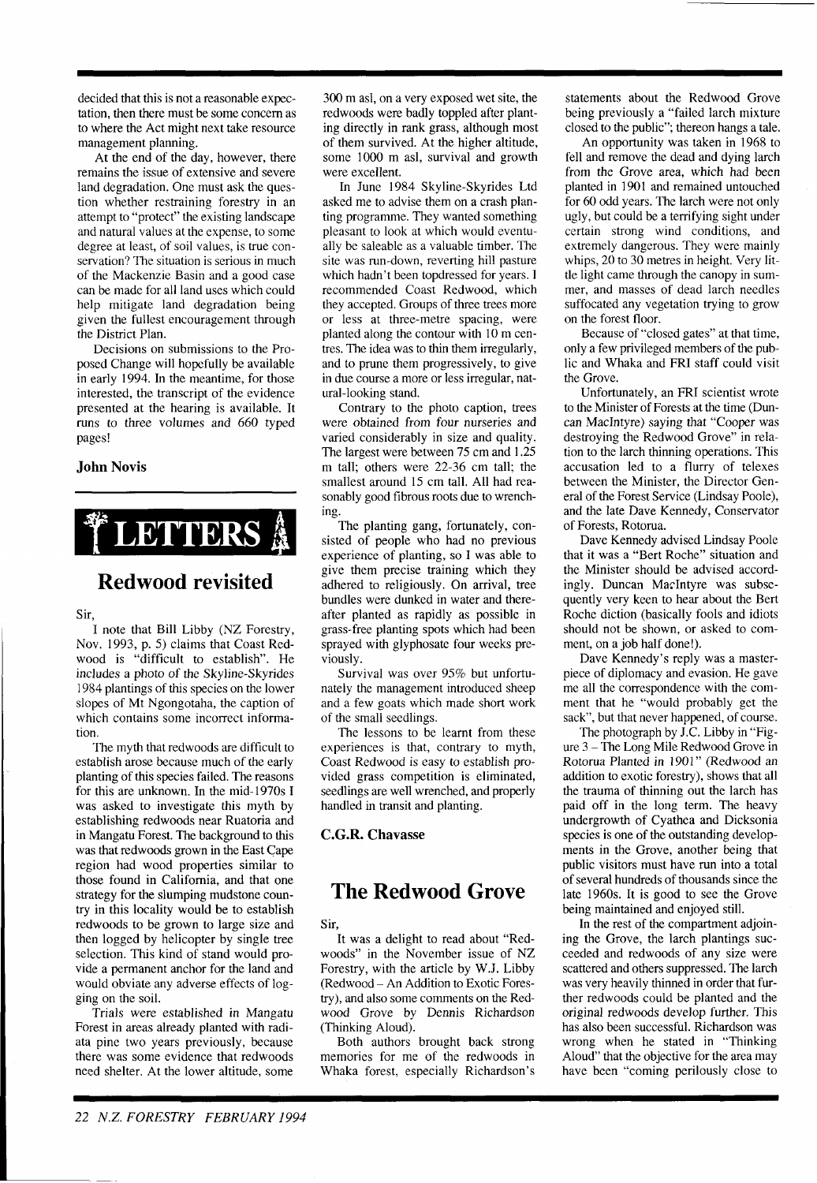decided that this is not a reasonable expectation, then there must be some concern as to where the Act might next take resource management planning.

At the end of the day, however, there remains the issue of extensive and severe land degradation. One must ask the question whether restraining forestry in an attempt to "protect" the existing landscape and natural values at the expense, to some degree at least, of soil values, is true conservation? The situation is serious in much of the Mackenzie Basin and a good case can be made for all land uses which could help mitigate land degradation being given the fullest encouragement through the District Plan.

Decisions on submissions to the Proposed Change will hopefully be available in early 1994. In the meantime, for those interested, the transcript of the evidence presented at the hearing is available. It runs to three volumes and 660 typed pages!

#### **John Novis**



# **Redwood revisited**

Sir,

I note that Bill Libby (NZ Forestry, Nov. 1993, p. 5) claims that Coast Redwood is "difficult to establish". He includes a photo of the Skyline-Skyrides 1984 plantings of this species on the lower slopes of Mt Ngongotaha, the caption of which contains some incorrect information.

The myth that redwoods are difficult to establish arose because much of the early planting of this species failed. The reasons for this are unknown. In the mid-1970s I was asked to investigate this myth by establishing redwoods near Ruatoria and in Mangatu Forest. The background to this was that redwoods grown in the East Cape region had wood properties similar to those found in California. and that one strategy for the slumping mudstone country in this locality would be to establish redwoods to be grown to large size and then logged by helicopter by single tree selection. This kind of stand would provide a permanent anchor for the land and would obviate any adverse effects of logging on the soil.

Trials were established in Mangatu Forest in areas already planted with radiata pine two years previously, because there was some evidence that redwoods need shelter. At the lower altitude. some

300 m asl, on a very exposed wet site, the redwoods were badly toppled after planting directly in rank grass, although most of them survived. At the higher altitude, some 1000 m asl, survival and growth were excellent.

In June 1984 Skyline-Skyrides Ltd asked me to advise them on a crash planting programme. They wanted something pleasant to look at which would eventually be saleable as a valuable timber. The site was run-down, reverting hill pasture which hadn't been topdressed for years. I recommended Coast Redwood, which they accepted. Groups of three trees more or less at three-metre spacing, were planted along the contour with 10 m centres. The idea was to thin them irregularly, and to prune them progressively, to give in due course a more or less irregular, natural-looking stand.

Contrary to the photo caption, trees were obtained from four nurseries and varied considerably in size and quality. The largest were between 75 cm and 1.25 m tall; others were 22-36 cm tall; the smallest around 15 cm tall. All had reasonably good fibrous roots due to wrenching.

The planting gang, fortunately, consisted of people who had no previous experience of planting, so I was able to give them precise training which they adhered to religiously. On arrival, tree bundles were dunked in water and thereafter planted as rapidly as possible in grass-free planting spots which had been sprayed with glyphosate four weeks previously.

Survival was over 95% but unfortunately the management introduced sheep and a few goats which made short work of the small seedlings.

The lessons to be learnt from these experiences is that, contrary to myth, Coast Redwood is easy to establish provided grass competition is eliminated, seedlings are well wrenched, and properly handled in transit and planting.

#### **C.G.R. Chavasse**

## **The Redwood Grove**

Sir,

It was a delight to read about "Redwoods" in the November issue of NZ Forestry, with the article by W.J. Libby (Redwood - An Addition to Exotic Forestry), and also some comments on the Redwood Grove by Dennis Richardson (Thinking Aloud).

Both authors brought back strong memories for me of the redwoods in Whaka forest, especially Richardson's

statements about the Redwood Grove being previously a "failed larch mixture closed to the public"; thereon hangs a tale.

An opportunity was taken in 1968 to fell and remove the dead and dying larch from the Grove area, which had been planted in 1901 and remained untouched for 60 odd years. The larch were not only ugly, but could be a terrifying sight under certain strong wind conditions, and extremely dangerous. They were mainly whips, 20 to 30 metres in height. Very little light came through the canopy in summer, and masses of dead larch needles suffocated any vegetation trying to grow on the forest floor.

Because of "closed gates" at that time, only a few privileged members of the public and Whaka and FRI staff could visit the Grove.

Unfortunately, an FRI scientist wrote to the Minister of Forests at the time (Duncan MacIntyre) saying that "Cooper was destroying the Redwood Grove" in relation to the larch thinning operations. This accusation led to a flurry of telexes between the Minister, the Director General of the Forest Service (Lindsay Poole), and the late Dave Kennedy, Conservator of Forests, Rotorua.

Dave Kennedy advised Lindsay Poole that it was a "Bert Roche" situation and the Minister should be advised accordingly. Duncan MacIntyre was subsequently very keen to hear about the Bert Roche diction (basically fools and idiots should not be shown, or asked to comment, on a job half done!).

Dave Kennedy's reply was a masterpiece of diplomacy and evasion. He gave me all the correspondence with the comment that he "would probably get the sack", but that never happened, of course.

The photograph by J.C. Libby in "Figure 3 - The Long Mile Redwood Grove in Rotorua Planted in 1901" (Redwood an addition to exotic forestry), shows that all the trauma of thinning out the larch has paid off in the long term. The heavy undergrowth of Cyathea and Dicksonia species is one of the outstanding developments in the Grove, another being that public visitors must have run into a total of several hundreds of thousands since the late 1960s. It is good to see the Grove being maintained and enjoyed still.

In the rest of the compartment adjoining the Grove, the larch plantings succeeded and redwoods of any size were scattered and others suppressed. The larch was very heavily thinned in order that further redwoods could be planted and the original redwoods develop further. This has also been successful. Richardson was wrong when he stated in "Thinking Aloud" that the objective for the area may have been "coming perilously close to